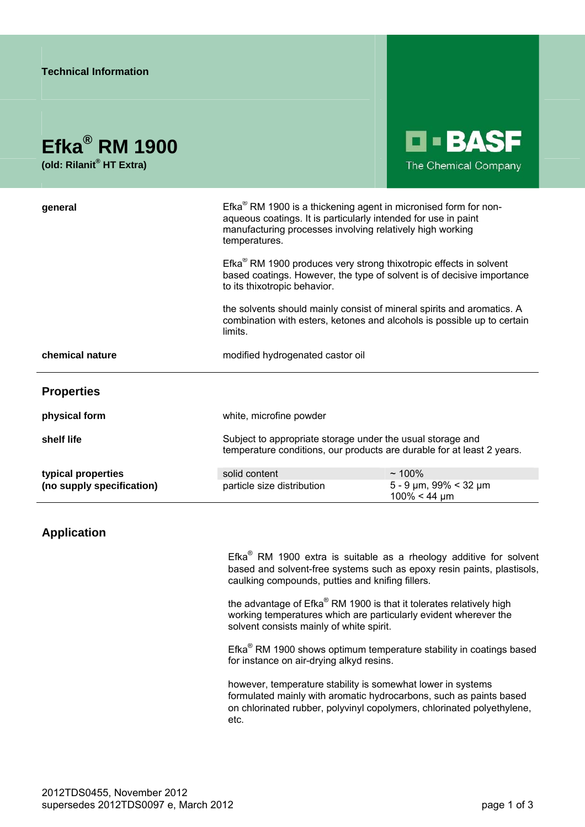## **Efka® RM 1900**

**(old: Rilanit® HT Extra)** 



| general                   | Efka <sup>®</sup> RM 1900 is a thickening agent in micronised form for non-<br>aqueous coatings. It is particularly intended for use in paint<br>manufacturing processes involving relatively high working<br>temperatures. |                                                        |
|---------------------------|-----------------------------------------------------------------------------------------------------------------------------------------------------------------------------------------------------------------------------|--------------------------------------------------------|
|                           | Efka <sup>®</sup> RM 1900 produces very strong thixotropic effects in solvent<br>based coatings. However, the type of solvent is of decisive importance<br>to its thixotropic behavior.                                     |                                                        |
|                           | the solvents should mainly consist of mineral spirits and aromatics. A<br>combination with esters, ketones and alcohols is possible up to certain<br>limits.                                                                |                                                        |
| chemical nature           | modified hydrogenated castor oil                                                                                                                                                                                            |                                                        |
| <b>Properties</b>         |                                                                                                                                                                                                                             |                                                        |
| physical form             | white, microfine powder                                                                                                                                                                                                     |                                                        |
| shelf life                | Subject to appropriate storage under the usual storage and<br>temperature conditions, our products are durable for at least 2 years.                                                                                        |                                                        |
| typical properties        | solid content                                                                                                                                                                                                               | $~100\%$                                               |
| (no supply specification) | particle size distribution                                                                                                                                                                                                  | $5 - 9 \mu m$ , 99% < 32 $\mu m$<br>$100\% < 44 \mu m$ |

## **Application**

Efka $^{\circledR}$  RM 1900 extra is suitable as a rheology additive for solvent based and solvent-free systems such as epoxy resin paints, plastisols, caulking compounds, putties and knifing fillers.

the advantage of Efka® RM 1900 is that it tolerates relatively high working temperatures which are particularly evident wherever the solvent consists mainly of white spirit.

Efka<sup>®</sup> RM 1900 shows optimum temperature stability in coatings based for instance on air-drying alkyd resins.

however, temperature stability is somewhat lower in systems formulated mainly with aromatic hydrocarbons, such as paints based on chlorinated rubber, polyvinyl copolymers, chlorinated polyethylene, etc.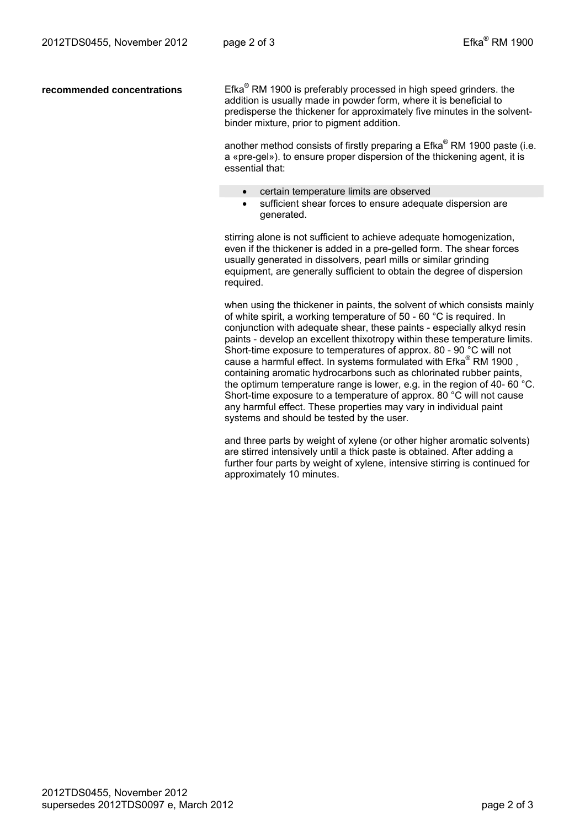recommended concentrations

 $E$ fka $^{\circ}$  RM 1900 is preferably processed in high speed grinders. the addition is usually made in powder form, where it is beneficial to predisperse the thickener for approximately five minutes in the solventbinder mixture, prior to pigment addition.

another method consists of firstly preparing a  $E$ fka® RM 1900 paste (i.e. a «pre-gel»). to ensure proper dispersion of the thickening agent, it is essential that:

- certain temperature limits are observed
- sufficient shear forces to ensure adequate dispersion are generated.

stirring alone is not sufficient to achieve adequate homogenization, even if the thickener is added in a pre-gelled form. The shear forces usually generated in dissolvers, pearl mills or similar grinding equipment, are generally sufficient to obtain the degree of dispersion required.

when using the thickener in paints, the solvent of which consists mainly of white spirit, a working temperature of 50 - 60 °C is required. In conjunction with adequate shear, these paints - especially alkyd resin paints - develop an excellent thixotropy within these temperature limits. Short-time exposure to temperatures of approx. 80 - 90 °C will not cause a harmful effect. In systems formulated with Efka $^{\circ}$  RM 1900, containing aromatic hydrocarbons such as chlorinated rubber paints, the optimum temperature range is lower, e.g. in the region of 40- 60 °C. Short-time exposure to a temperature of approx. 80 °C will not cause any harmful effect. These properties may vary in individual paint systems and should be tested by the user.

and three parts by weight of xylene (or other higher aromatic solvents) are stirred intensively until a thick paste is obtained. After adding a further four parts by weight of xylene, intensive stirring is continued for approximately 10 minutes.